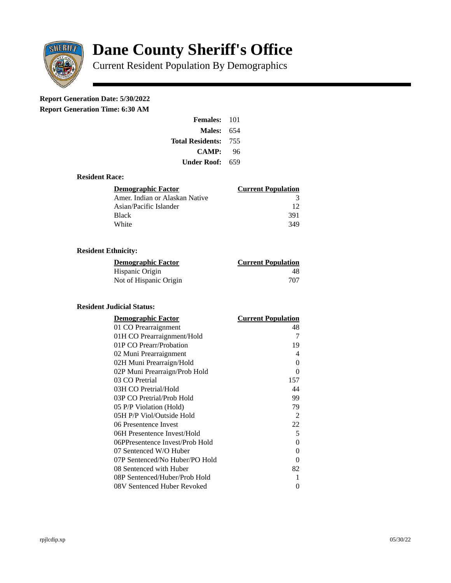

# **Dane County Sheriff's Office**

Current Resident Population By Demographics

# **Report Generation Date: 5/30/2022**

**Report Generation Time: 6:30 AM** 

| Females:                    | 101 |
|-----------------------------|-----|
| Males:                      | 654 |
| <b>Total Residents: 755</b> |     |
| CAMP:                       | 96  |
| Under Roof: L               | 659 |

# **Resident Race:**

| Demographic Factor             | <b>Current Population</b> |
|--------------------------------|---------------------------|
| Amer. Indian or Alaskan Native | З                         |
| Asian/Pacific Islander         | 12                        |
| Black                          | 391                       |
| White                          | 349                       |

# **Resident Ethnicity:**

| <u>Demographic Factor</u> | <b>Current Population</b> |
|---------------------------|---------------------------|
| Hispanic Origin           | 48                        |
| Not of Hispanic Origin    | 707                       |

#### **Resident Judicial Status:**

| <b>Demographic Factor</b>       | <b>Current Population</b> |
|---------------------------------|---------------------------|
| 01 CO Prearraignment            | 48                        |
| 01H CO Prearraignment/Hold      | 7                         |
| 01P CO Prearr/Probation         | 19                        |
| 02 Muni Prearraignment          | 4                         |
| 02H Muni Prearraign/Hold        | 0                         |
| 02P Muni Prearraign/Prob Hold   | 0                         |
| 03 CO Pretrial                  | 157                       |
| 03H CO Pretrial/Hold            | 44                        |
| 03P CO Pretrial/Prob Hold       | 99                        |
| 05 P/P Violation (Hold)         | 79                        |
| 05H P/P Viol/Outside Hold       | 2                         |
| 06 Presentence Invest           | 22                        |
| 06H Presentence Invest/Hold     | 5                         |
| 06PPresentence Invest/Prob Hold | 0                         |
| 07 Sentenced W/O Huber          | 0                         |
| 07P Sentenced/No Huber/PO Hold  | 0                         |
| 08 Sentenced with Huber         | 82                        |
| 08P Sentenced/Huber/Prob Hold   | 1                         |
| 08V Sentenced Huber Revoked     | 0                         |